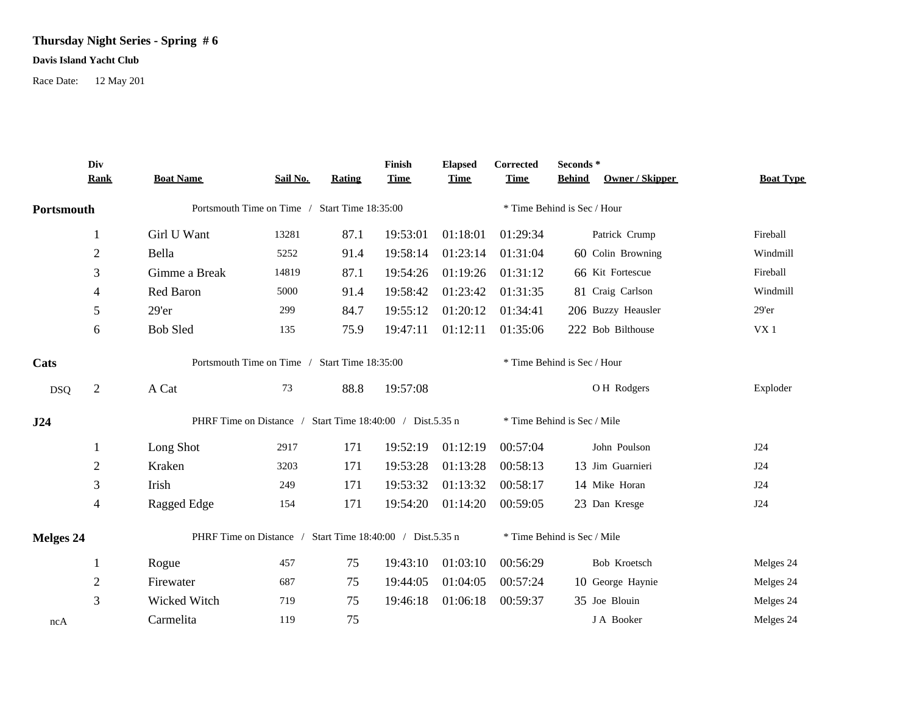## **Thursday Night Series - Spring # 6**

## **Davis Island Yacht Club**

Race Date: 12 May 201

|            | Div<br><b>Rank</b>                                        | <b>Boat Name</b>                                          | Sail No. | <b>Rating</b>               | Finish<br><b>Time</b> | <b>Elapsed</b><br><b>Time</b> | Corrected<br><b>Time</b> | Seconds*<br>Owner / Skipper<br><b>Behind</b> | <b>Boat Type</b> |  |  |
|------------|-----------------------------------------------------------|-----------------------------------------------------------|----------|-----------------------------|-----------------------|-------------------------------|--------------------------|----------------------------------------------|------------------|--|--|
| Portsmouth |                                                           | Portsmouth Time on Time / Start Time 18:35:00             |          |                             |                       |                               |                          |                                              |                  |  |  |
|            |                                                           | Girl U Want                                               | 13281    | 87.1                        | 19:53:01              | 01:18:01                      | 01:29:34                 | Patrick Crump                                | Fireball         |  |  |
|            | $\overline{2}$                                            | Bella                                                     | 5252     | 91.4                        | 19:58:14              | 01:23:14                      | 01:31:04                 | 60 Colin Browning                            | Windmill         |  |  |
|            | 3                                                         | Gimme a Break                                             | 14819    | 87.1                        | 19:54:26              | 01:19:26                      | 01:31:12                 | 66 Kit Fortescue                             | Fireball         |  |  |
|            | 4                                                         | Red Baron                                                 | 5000     | 91.4                        | 19:58:42              | 01:23:42                      | 01:31:35                 | 81 Craig Carlson                             | Windmill         |  |  |
|            | 5                                                         | $29'$ er                                                  | 299      | 84.7                        | 19:55:12              | 01:20:12                      | 01:34:41                 | 206 Buzzy Heausler                           | $29'$ er         |  |  |
|            | 6                                                         | <b>Bob Sled</b>                                           | 135      | 75.9                        | 19:47:11              | 01:12:11                      | 01:35:06                 | 222 Bob Bilthouse                            | VX1              |  |  |
| Cats       |                                                           | Portsmouth Time on Time / Start Time 18:35:00             |          |                             |                       | * Time Behind is Sec / Hour   |                          |                                              |                  |  |  |
| <b>DSQ</b> | $\overline{2}$                                            | A Cat                                                     | 73       | 88.8                        | 19:57:08              |                               |                          | O H Rodgers                                  | Exploder         |  |  |
| J24        | PHRF Time on Distance / Start Time 18:40:00 / Dist.5.35 n |                                                           |          | * Time Behind is Sec / Mile |                       |                               |                          |                                              |                  |  |  |
|            | 1                                                         | Long Shot                                                 | 2917     | 171                         | 19:52:19              | 01:12:19                      | 00:57:04                 | John Poulson                                 | J24              |  |  |
|            | $\overline{c}$                                            | Kraken                                                    | 3203     | 171                         | 19:53:28              | 01:13:28                      | 00:58:13                 | 13 Jim Guarnieri                             | J24              |  |  |
|            | 3                                                         | Irish                                                     | 249      | 171                         | 19:53:32              | 01:13:32                      | 00:58:17                 | 14 Mike Horan                                | J24              |  |  |
|            | 4                                                         | Ragged Edge                                               | 154      | 171                         | 19:54:20              | 01:14:20                      | 00:59:05                 | 23 Dan Kresge                                | J24              |  |  |
| Melges 24  |                                                           | PHRF Time on Distance / Start Time 18:40:00 / Dist.5.35 n |          |                             |                       |                               |                          | * Time Behind is Sec / Mile                  |                  |  |  |
|            |                                                           | Rogue                                                     | 457      | 75                          | 19:43:10              | 01:03:10                      | 00:56:29                 | Bob Kroetsch                                 | Melges 24        |  |  |
|            | $\overline{2}$                                            | Firewater                                                 | 687      | 75                          | 19:44:05              | 01:04:05                      | 00:57:24                 | 10 George Haynie                             | Melges 24        |  |  |
|            | 3                                                         | Wicked Witch                                              | 719      | 75                          | 19:46:18              | 01:06:18                      | 00:59:37                 | 35 Joe Blouin                                | Melges 24        |  |  |
| ncA        |                                                           | Carmelita                                                 | 119      | 75                          |                       |                               |                          | J A Booker                                   | Melges 24        |  |  |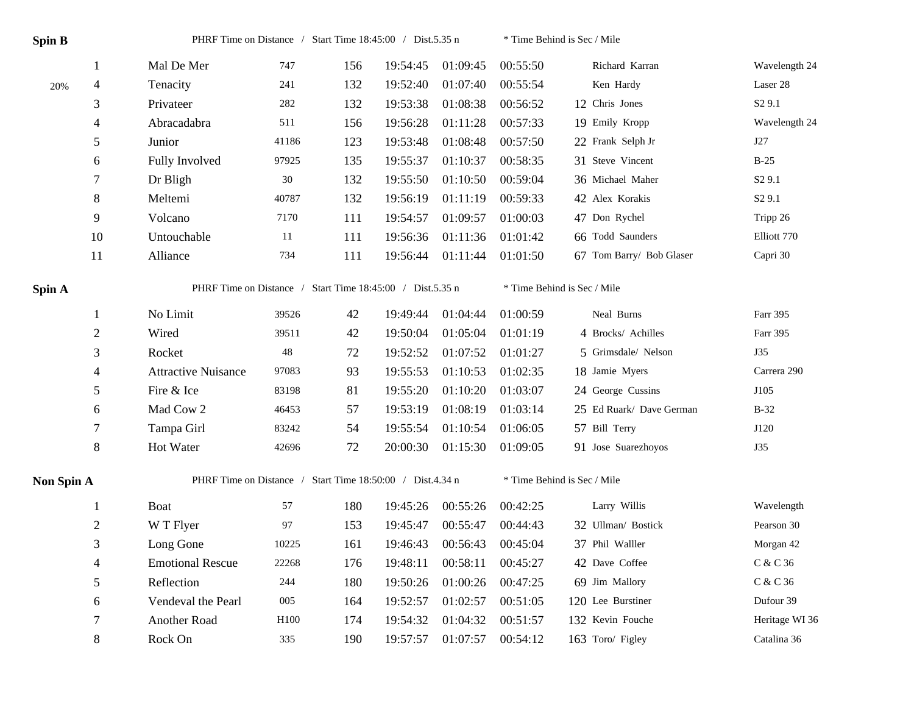| Spin B     |                | PHRF Time on Distance / Start Time 18:45:00 / Dist.5.35 n |       |     |          |          |          | * Time Behind is Sec / Mile |                    |  |  |
|------------|----------------|-----------------------------------------------------------|-------|-----|----------|----------|----------|-----------------------------|--------------------|--|--|
|            | $\mathbf{1}$   | Mal De Mer                                                | 747   | 156 | 19:54:45 | 01:09:45 | 00:55:50 | Richard Karran              | Wavelength 24      |  |  |
| 20%        | 4              | Tenacity                                                  | 241   | 132 | 19:52:40 | 01:07:40 | 00:55:54 | Ken Hardy                   | Laser 28           |  |  |
|            | 3              | Privateer                                                 | 282   | 132 | 19:53:38 | 01:08:38 | 00:56:52 | 12 Chris Jones              | S <sub>2</sub> 9.1 |  |  |
|            | 4              | Abracadabra                                               | 511   | 156 | 19:56:28 | 01:11:28 | 00:57:33 | 19 Emily Kropp              | Wavelength 24      |  |  |
|            | 5              | Junior                                                    | 41186 | 123 | 19:53:48 | 01:08:48 | 00:57:50 | 22 Frank Selph Jr           | J27                |  |  |
|            | 6              | Fully Involved                                            | 97925 | 135 | 19:55:37 | 01:10:37 | 00:58:35 | 31 Steve Vincent            | $B-25$             |  |  |
|            | 7              | Dr Bligh                                                  | 30    | 132 | 19:55:50 | 01:10:50 | 00:59:04 | 36 Michael Maher            | S <sub>2</sub> 9.1 |  |  |
|            | $8\,$          | Meltemi                                                   | 40787 | 132 | 19:56:19 | 01:11:19 | 00:59:33 | 42 Alex Korakis             | S <sub>2</sub> 9.1 |  |  |
|            | 9              | Volcano                                                   | 7170  | 111 | 19:54:57 | 01:09:57 | 01:00:03 | 47 Don Rychel               | Tripp 26           |  |  |
|            | 10             | Untouchable                                               | 11    | 111 | 19:56:36 | 01:11:36 | 01:01:42 | 66 Todd Saunders            | Elliott 770        |  |  |
|            | 11             | Alliance                                                  | 734   | 111 | 19:56:44 | 01:11:44 | 01:01:50 | 67 Tom Barry/ Bob Glaser    | Capri 30           |  |  |
| Spin A     |                | PHRF Time on Distance / Start Time 18:45:00 / Dist.5.35 n |       |     |          |          |          | * Time Behind is Sec / Mile |                    |  |  |
|            | 1              | No Limit                                                  | 39526 | 42  | 19:49:44 | 01:04:44 | 01:00:59 | Neal Burns                  | Farr 395           |  |  |
|            | $\overline{c}$ | Wired                                                     | 39511 | 42  | 19:50:04 | 01:05:04 | 01:01:19 | 4 Brocks/ Achilles          | Farr 395           |  |  |
|            | 3              | Rocket                                                    | 48    | 72  | 19:52:52 | 01:07:52 | 01:01:27 | 5 Grimsdale/ Nelson         | <b>J35</b>         |  |  |
|            | 4              | <b>Attractive Nuisance</b>                                | 97083 | 93  | 19:55:53 | 01:10:53 | 01:02:35 | 18 Jamie Myers              | Carrera 290        |  |  |
|            | 5              | Fire & Ice                                                | 83198 | 81  | 19:55:20 | 01:10:20 | 01:03:07 | 24 George Cussins           | J105               |  |  |
|            | 6              | Mad Cow 2                                                 | 46453 | 57  | 19:53:19 | 01:08:19 | 01:03:14 | 25 Ed Ruark/ Dave German    | $B-32$             |  |  |
|            | 7              | Tampa Girl                                                | 83242 | 54  | 19:55:54 | 01:10:54 | 01:06:05 | 57 Bill Terry               | J120               |  |  |
|            | $8\,$          | Hot Water                                                 | 42696 | 72  | 20:00:30 | 01:15:30 | 01:09:05 | 91 Jose Suarezhoyos         | <b>J35</b>         |  |  |
| Non Spin A |                | PHRF Time on Distance / Start Time 18:50:00 / Dist.4.34 n |       |     |          |          |          | * Time Behind is Sec / Mile |                    |  |  |
|            | 1              | Boat                                                      | 57    | 180 | 19:45:26 | 00:55:26 | 00:42:25 | Larry Willis                | Wavelength         |  |  |
|            | $\overline{c}$ | W T Flyer                                                 | 97    | 153 | 19:45:47 | 00:55:47 | 00:44:43 | 32 Ullman/ Bostick          | Pearson 30         |  |  |
|            | 3              | Long Gone                                                 | 10225 | 161 | 19:46:43 | 00:56:43 | 00:45:04 | 37 Phil Walller             | Morgan 42          |  |  |
|            | 4              | <b>Emotional Rescue</b>                                   | 22268 | 176 | 19:48:11 | 00:58:11 | 00:45:27 | 42 Dave Coffee              | C & C 36           |  |  |
|            | 5              | Reflection                                                | 244   | 180 | 19:50:26 | 01:00:26 | 00:47:25 | 69 Jim Mallory              | C & C 36           |  |  |
|            | 6              | Vendeval the Pearl                                        | 005   | 164 | 19:52:57 | 01:02:57 | 00:51:05 | 120 Lee Burstiner           | Dufour 39          |  |  |
|            | 7              | Another Road                                              | H100  | 174 | 19:54:32 | 01:04:32 | 00:51:57 | 132 Kevin Fouche            | Heritage WI 36     |  |  |
|            | 8              | Rock On                                                   | 335   | 190 | 19:57:57 | 01:07:57 | 00:54:12 | 163 Toro/ Figley            | Catalina 36        |  |  |